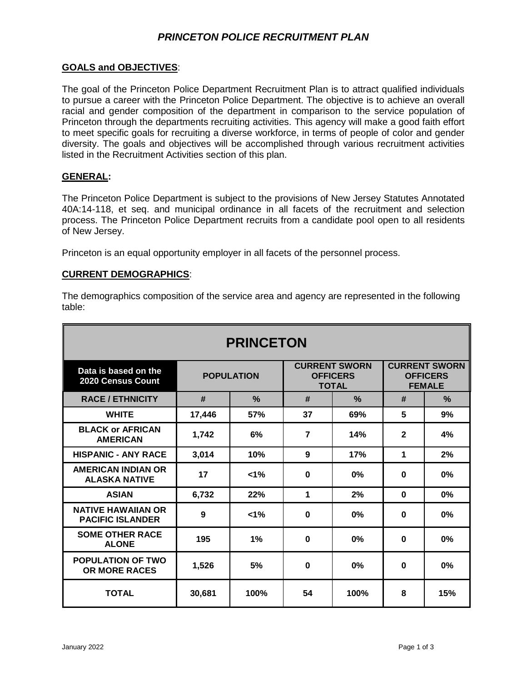## *PRINCETON POLICE RECRUITMENT PLAN*

### **GOALS and OBJECTIVES**:

The goal of the Princeton Police Department Recruitment Plan is to attract qualified individuals to pursue a career with the Princeton Police Department. The objective is to achieve an overall racial and gender composition of the department in comparison to the service population of Princeton through the departments recruiting activities. This agency will make a good faith effort to meet specific goals for recruiting a diverse workforce, in terms of people of color and gender diversity. The goals and objectives will be accomplished through various recruitment activities listed in the Recruitment Activities section of this plan.

#### **GENERAL:**

The Princeton Police Department is subject to the provisions of New Jersey Statutes Annotated 40A:14-118, et seq. and municipal ordinance in all facets of the recruitment and selection process. The Princeton Police Department recruits from a candidate pool open to all residents of New Jersey.

Princeton is an equal opportunity employer in all facets of the personnel process.

#### **CURRENT DEMOGRAPHICS**:

The demographics composition of the service area and agency are represented in the following table:

| <b>PRINCETON</b>                                     |                   |               |                                                         |               |                                                          |     |
|------------------------------------------------------|-------------------|---------------|---------------------------------------------------------|---------------|----------------------------------------------------------|-----|
| Data is based on the<br>2020 Census Count            | <b>POPULATION</b> |               | <b>CURRENT SWORN</b><br><b>OFFICERS</b><br><b>TOTAL</b> |               | <b>CURRENT SWORN</b><br><b>OFFICERS</b><br><b>FEMALE</b> |     |
| <b>RACE / ETHNICITY</b>                              | #                 | $\frac{0}{0}$ | #                                                       | $\frac{9}{6}$ | #                                                        | %   |
| <b>WHITE</b>                                         | 17,446            | <b>57%</b>    | 37                                                      | 69%           | 5                                                        | 9%  |
| <b>BLACK or AFRICAN</b><br><b>AMERICAN</b>           | 1,742             | 6%            | $\overline{7}$                                          | 14%           | $\mathbf{2}$                                             | 4%  |
| <b>HISPANIC - ANY RACE</b>                           | 3,014             | 10%           | 9                                                       | 17%           | 1                                                        | 2%  |
| AMERICAN INDIAN OR<br><b>ALASKA NATIVE</b>           | 17                | $< 1\%$       | $\bf{0}$                                                | 0%            | 0                                                        | 0%  |
| <b>ASIAN</b>                                         | 6,732             | 22%           | 1                                                       | 2%            | $\bf{0}$                                                 | 0%  |
| <b>NATIVE HAWAIIAN OR</b><br><b>PACIFIC ISLANDER</b> | 9                 | $1\%$         | $\bf{0}$                                                | 0%            | $\bf{0}$                                                 | 0%  |
| <b>SOME OTHER RACE</b><br><b>ALONE</b>               | 195               | 1%            | $\bf{0}$                                                | 0%            | $\bf{0}$                                                 | 0%  |
| <b>POPULATION OF TWO</b><br><b>OR MORE RACES</b>     | 1,526             | 5%            | $\bf{0}$                                                | 0%            | $\bf{0}$                                                 | 0%  |
| <b>TOTAL</b>                                         | 30,681            | 100%          | 54                                                      | 100%          | 8                                                        | 15% |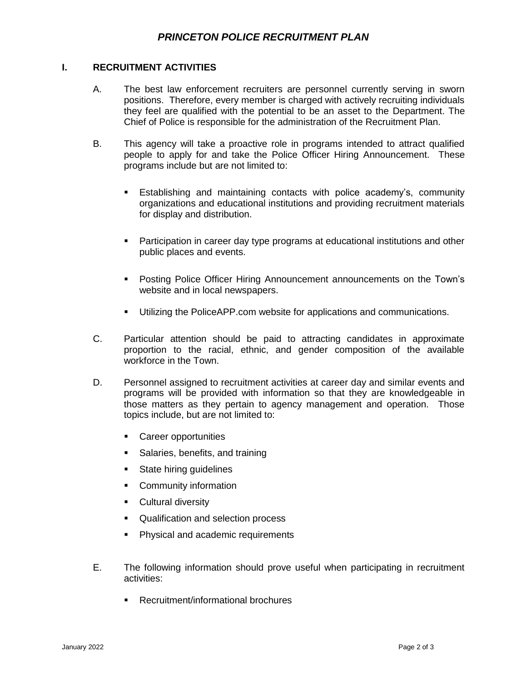## **I. RECRUITMENT ACTIVITIES**

- A. The best law enforcement recruiters are personnel currently serving in sworn positions. Therefore, every member is charged with actively recruiting individuals they feel are qualified with the potential to be an asset to the Department. The Chief of Police is responsible for the administration of the Recruitment Plan.
- B. This agency will take a proactive role in programs intended to attract qualified people to apply for and take the Police Officer Hiring Announcement. These programs include but are not limited to:
	- Establishing and maintaining contacts with police academy's, community organizations and educational institutions and providing recruitment materials for display and distribution.
	- **Participation in career day type programs at educational institutions and other** public places and events.
	- Posting Police Officer Hiring Announcement announcements on the Town's website and in local newspapers.
	- Utilizing the PoliceAPP.com website for applications and communications.
- C. Particular attention should be paid to attracting candidates in approximate proportion to the racial, ethnic, and gender composition of the available workforce in the Town.
- D. Personnel assigned to recruitment activities at career day and similar events and programs will be provided with information so that they are knowledgeable in those matters as they pertain to agency management and operation. Those topics include, but are not limited to:
	- Career opportunities
	- **Salaries, benefits, and training**
	- **State hiring guidelines**
	- **•** Community information
	- **Cultural diversity**
	- Qualification and selection process
	- **Physical and academic requirements**
- E. The following information should prove useful when participating in recruitment activities:
	- Recruitment/informational brochures